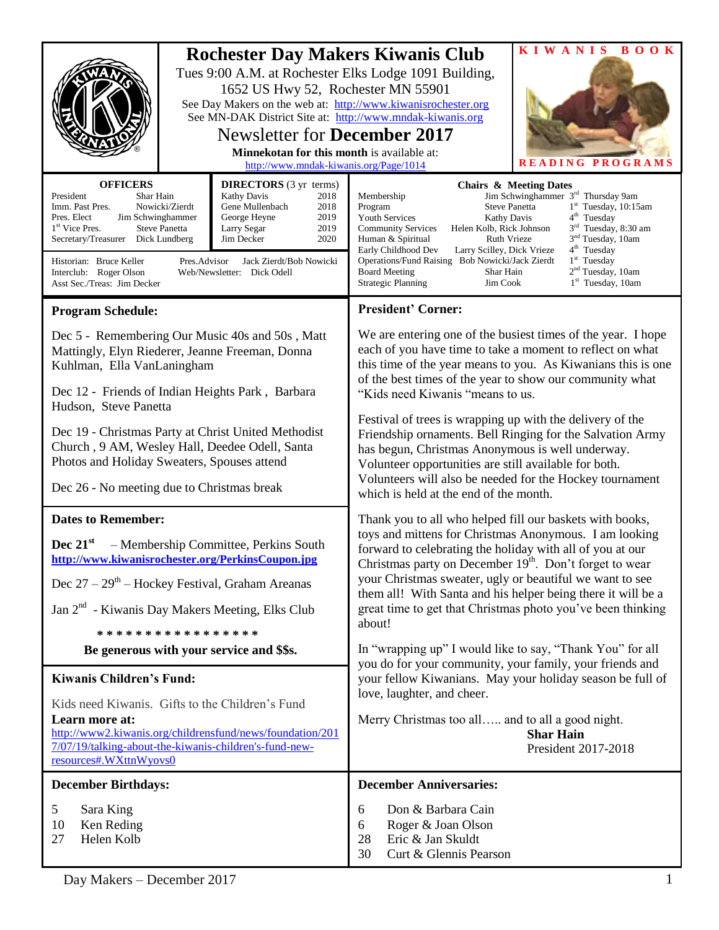|                                                                                                                                                                                                                                                                                                                                                                                                                                                                                                                                    |  |                                                                                                                                                                                                                                                                                                                                                                          |                                                                                                                                                                                                                                                                                                                                                                                                                                                                                                                                                                                                                                        | KIWANIS BOOK            |
|------------------------------------------------------------------------------------------------------------------------------------------------------------------------------------------------------------------------------------------------------------------------------------------------------------------------------------------------------------------------------------------------------------------------------------------------------------------------------------------------------------------------------------|--|--------------------------------------------------------------------------------------------------------------------------------------------------------------------------------------------------------------------------------------------------------------------------------------------------------------------------------------------------------------------------|----------------------------------------------------------------------------------------------------------------------------------------------------------------------------------------------------------------------------------------------------------------------------------------------------------------------------------------------------------------------------------------------------------------------------------------------------------------------------------------------------------------------------------------------------------------------------------------------------------------------------------------|-------------------------|
|                                                                                                                                                                                                                                                                                                                                                                                                                                                                                                                                    |  | 1652 US Hwy 52, Rochester MN 55901<br><b>Newsletter for December 2017</b><br>Minnekotan for this month is available at:<br>http://www.mndak-kiwanis.org/Page/1014                                                                                                                                                                                                        | <b>Rochester Day Makers Kiwanis Club</b><br>Tues 9:00 A.M. at Rochester Elks Lodge 1091 Building,<br>See Day Makers on the web at: http://www.kiwanisrochester.org<br>See MN-DAK District Site at: http://www.mndak-kiwanis.org                                                                                                                                                                                                                                                                                                                                                                                                        | <b>READING PROGRAMS</b> |
| <b>OFFICERS</b><br><b>DIRECTORS</b> (3 yr terms)<br>President<br>Shar Hain<br>Kathy Davis<br>2018<br>Nowicki/Zierdt<br>Imm. Past Pres.<br>Gene Mullenbach<br>2018<br>Pres. Elect<br>Jim Schwinghammer<br>George Heyne<br>2019<br>2019<br>1 <sup>st</sup> Vice Pres.<br><b>Steve Panetta</b><br>Larry Segar<br>2020<br>Secretary/Treasurer Dick Lundberg<br>Jim Decker<br>Historian: Bruce Keller<br>Pres.Advisor<br>Jack Zierdt/Bob Nowicki<br>Interclub: Roger Olson<br>Web/Newsletter: Dick Odell<br>Asst Sec./Treas: Jim Decker |  | Membership<br><b>Steve Panetta</b><br>Program<br><b>Youth Services</b><br>Kathy Davis<br><b>Community Services</b><br>Helen Kolb, Rick Johnson<br>Human & Spiritual<br>Ruth Vrieze<br>Early Childhood Dev<br>Larry Scilley, Dick Vrieze<br>Operations/Fund Raising Bob Nowicki/Jack Zierdt<br><b>Board Meeting</b><br>Shar Hain<br><b>Strategic Planning</b><br>Jim Cook | <b>Chairs &amp; Meeting Dates</b><br>Jim Schwinghammer 3 <sup>rd</sup> Thursday 9am<br>$1st$ Tuesday, 10:15am<br>$4th$ Tuesday<br>3 <sup>rd</sup> Tuesday, 8:30 am<br>3 <sup>nd</sup> Tuesday, 10am<br>4 <sup>th</sup> Tuesday<br>$1st$ Tuesday<br>$2nd$ Tuesday, 10am<br>$1st$ Tuesday, 10am                                                                                                                                                                                                                                                                                                                                          |                         |
| <b>Program Schedule:</b>                                                                                                                                                                                                                                                                                                                                                                                                                                                                                                           |  |                                                                                                                                                                                                                                                                                                                                                                          | <b>President' Corner:</b>                                                                                                                                                                                                                                                                                                                                                                                                                                                                                                                                                                                                              |                         |
| Dec 5 - Remembering Our Music 40s and 50s, Matt<br>Mattingly, Elyn Riederer, Jeanne Freeman, Donna<br>Kuhlman, Ella VanLaningham                                                                                                                                                                                                                                                                                                                                                                                                   |  |                                                                                                                                                                                                                                                                                                                                                                          | We are entering one of the busiest times of the year. I hope<br>each of you have time to take a moment to reflect on what<br>this time of the year means to you. As Kiwanians this is one<br>of the best times of the year to show our community what<br>"Kids need Kiwanis "means to us.<br>Festival of trees is wrapping up with the delivery of the<br>Friendship ornaments. Bell Ringing for the Salvation Army<br>has begun, Christmas Anonymous is well underway.<br>Volunteer opportunities are still available for both.<br>Volunteers will also be needed for the Hockey tournament<br>which is held at the end of the month. |                         |
| Dec 12 - Friends of Indian Heights Park, Barbara<br>Hudson, Steve Panetta                                                                                                                                                                                                                                                                                                                                                                                                                                                          |  |                                                                                                                                                                                                                                                                                                                                                                          |                                                                                                                                                                                                                                                                                                                                                                                                                                                                                                                                                                                                                                        |                         |
| Dec 19 - Christmas Party at Christ United Methodist<br>Church, 9 AM, Wesley Hall, Deedee Odell, Santa<br>Photos and Holiday Sweaters, Spouses attend<br>Dec 26 - No meeting due to Christmas break                                                                                                                                                                                                                                                                                                                                 |  |                                                                                                                                                                                                                                                                                                                                                                          |                                                                                                                                                                                                                                                                                                                                                                                                                                                                                                                                                                                                                                        |                         |
| <b>Dates to Remember:</b>                                                                                                                                                                                                                                                                                                                                                                                                                                                                                                          |  |                                                                                                                                                                                                                                                                                                                                                                          | Thank you to all who helped fill our baskets with books,                                                                                                                                                                                                                                                                                                                                                                                                                                                                                                                                                                               |                         |
| Dec $21^{st}$<br>- Membership Committee, Perkins South<br>http://www.kiwanisrochester.org/PerkinsCoupon.jpg<br>Dec $27 - 29$ <sup>th</sup> – Hockey Festival, Graham Areanas<br>Jan 2 <sup>nd</sup> - Kiwanis Day Makers Meeting, Elks Club<br>*****************                                                                                                                                                                                                                                                                   |  |                                                                                                                                                                                                                                                                                                                                                                          | toys and mittens for Christmas Anonymous. I am looking<br>forward to celebrating the holiday with all of you at our<br>Christmas party on December 19 <sup>th</sup> . Don't forget to wear<br>your Christmas sweater, ugly or beautiful we want to see<br>them all! With Santa and his helper being there it will be a<br>great time to get that Christmas photo you've been thinking<br>about!                                                                                                                                                                                                                                        |                         |
|                                                                                                                                                                                                                                                                                                                                                                                                                                                                                                                                    |  | Be generous with your service and \$\$s.                                                                                                                                                                                                                                                                                                                                 | In "wrapping up" I would like to say, "Thank You" for all                                                                                                                                                                                                                                                                                                                                                                                                                                                                                                                                                                              |                         |
| <b>Kiwanis Children's Fund:</b>                                                                                                                                                                                                                                                                                                                                                                                                                                                                                                    |  | you do for your community, your family, your friends and<br>your fellow Kiwanians. May your holiday season be full of<br>love, laughter, and cheer.<br>Merry Christmas too all and to all a good night.<br><b>Shar Hain</b><br>President 2017-2018                                                                                                                       |                                                                                                                                                                                                                                                                                                                                                                                                                                                                                                                                                                                                                                        |                         |
| Kids need Kiwanis. Gifts to the Children's Fund<br>Learn more at:<br>http://www2.kiwanis.org/childrensfund/news/foundation/201<br>7/07/19/talking-about-the-kiwanis-children's-fund-new-<br>resources#.WXttnWyovs0                                                                                                                                                                                                                                                                                                                 |  |                                                                                                                                                                                                                                                                                                                                                                          |                                                                                                                                                                                                                                                                                                                                                                                                                                                                                                                                                                                                                                        |                         |
| <b>December Birthdays:</b>                                                                                                                                                                                                                                                                                                                                                                                                                                                                                                         |  |                                                                                                                                                                                                                                                                                                                                                                          | <b>December Anniversaries:</b>                                                                                                                                                                                                                                                                                                                                                                                                                                                                                                                                                                                                         |                         |
| 5<br>Sara King<br>10<br>Ken Reding<br>Helen Kolb<br>27                                                                                                                                                                                                                                                                                                                                                                                                                                                                             |  | Don & Barbara Cain<br>6<br>Roger & Joan Olson<br>6<br>Eric & Jan Skuldt<br>28<br>30<br>Curt & Glennis Pearson                                                                                                                                                                                                                                                            |                                                                                                                                                                                                                                                                                                                                                                                                                                                                                                                                                                                                                                        |                         |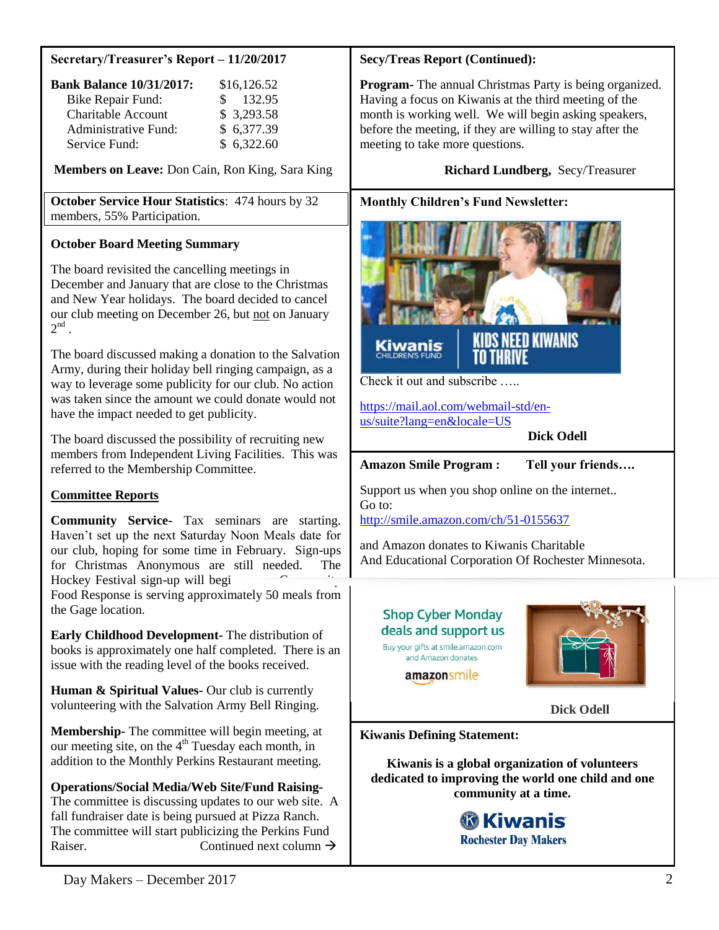| Secretary/Treasurer's Report - 11/20/2017 |  |  |
|-------------------------------------------|--|--|
|                                           |  |  |

| <b>Bank Balance 10/31/2017:</b> | \$16,126.52   |
|---------------------------------|---------------|
| Bike Repair Fund:               | 132.95<br>SS. |
| <b>Charitable Account</b>       | \$3,293.58    |
| Administrative Fund:            | \$6,377.39    |
| Service Fund:                   | \$6,322.60    |

**Members on Leave:** Don Cain, Ron King, Sara King

**October Service Hour Statistics**: 474 hours by 32 members, 55% Participation.

# **October Board Meeting Summary**

The board revisited the cancelling meetings in December and January that are close to the Christmas and New Year holidays. The board decided to cancel our club meeting on December 26, but not on January  $2^{\text{nd}}$ .

The board discussed making a donation to the Salvation Army, during their holiday bell ringing campaign, as a way to leverage some publicity for our club. No action was taken since the amount we could donate would not have the impact needed to get publicity.

The board discussed the possibility of recruiting new members from Independent Living Facilities. This was referred to the Membership Committee.

# **Committee Reports**

**Community Service-** Tax seminars are starting. Haven't set up the next Saturday Noon Meals date for our club, hoping for some time in February. Sign-ups for Christmas Anonymous are still needed. The Hockey Festival sign-up will begi

Food Response is serving approximately 50 meals from the Gage location.

**Early Childhood Development-** The distribution of books is approximately one half completed. There is an issue with the reading level of the books received.

**Human & Spiritual Values-** Our club is currently volunteering with the Salvation Army Bell Ringing.

**Membership-** The committee will begin meeting, at our meeting site, on the  $4<sup>th</sup>$  Tuesday each month, in addition to the Monthly Perkins Restaurant meeting.

# **Operations/Social Media/Web Site/Fund Raising-**

The committee is discussing updates to our web site. A fall fundraiser date is being pursued at Pizza Ranch. The committee will start publicizing the Perkins Fund Raiser. Continued next column  $\rightarrow$ 

### **Secy/Treas Report (Continued):**

**Program-** The annual Christmas Party is being organized. Having a focus on Kiwanis at the third meeting of the month is working well. We will begin asking speakers, before the meeting, if they are willing to stay after the meeting to take more questions.

### **Richard Lundberg,** Secy/Treasurer

### **Monthly Children's Fund Newsletter:**



Check it out and subscribe …..

[https://mail.aol.com/webmail-std/en](https://mail.aol.com/webmail-std/en-us/suite?lang=en&locale=US)[us/suite?lang=en&locale=US](https://mail.aol.com/webmail-std/en-us/suite?lang=en&locale=US)

#### **Dick Odell**

**Amazon Smile Program : Tell your friends….**

Support us when you shop online on the internet.. Go to: <http://smile.amazon.com/ch/51-0155637>

and Amazon donates to Kiwanis Charitable And Educational Corporation Of Rochester Minnesota.

# **Shop Cyber Monday** deals and support us

Buy your gifts at smile.amazon.com and Amazon donates.

amazonsmile



 **Dick Odell**

**Kiwanis Defining Statement:**

**Kiwanis is a global organization of volunteers dedicated to improving the world one child and one community at a time.**

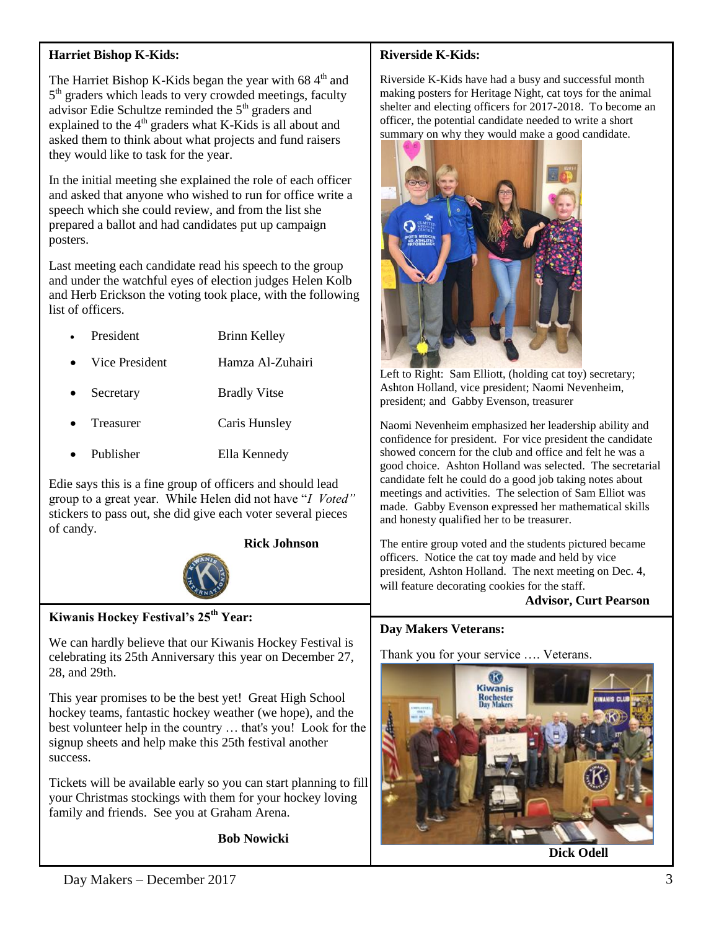# **Harriet Bishop K-Kids:**

The Harriet Bishop K-Kids began the year with  $684<sup>th</sup>$  and 5<sup>th</sup> graders which leads to very crowded meetings, faculty advisor Edie Schultze reminded the  $5<sup>th</sup>$  graders and explained to the  $4<sup>th</sup>$  graders what K-Kids is all about and asked them to think about what projects and fund raisers they would like to task for the year.

In the initial meeting she explained the role of each officer and asked that anyone who wished to run for office write a speech which she could review, and from the list she prepared a ballot and had candidates put up campaign posters.

Last meeting each candidate read his speech to the group and under the watchful eyes of election judges Helen Kolb and Herb Erickson the voting took place, with the following list of officers.

- President Brinn Kelley
- Vice President Hamza Al-Zuhairi
- Secretary Bradly Vitse
- Treasurer Caris Hunsley
- Publisher Ella Kennedy

Edie says this is a fine group of officers and should lead group to a great year. While Helen did not have "*I Voted"*  stickers to pass out, she did give each voter several pieces of candy.

 **Rick Johnson**



# **Kiwanis Hockey Festival's 25th Year:**

We can hardly believe that our Kiwanis Hockey Festival is celebrating its 25th Anniversary this year on December 27, 28, and 29th.

This year promises to be the best yet! Great High School hockey teams, fantastic hockey weather (we hope), and the best volunteer help in the country … that's you! Look for the signup sheets and help make this 25th festival another success.

Tickets will be available early so you can start planning to fill your Christmas stockings with them for your hockey loving family and friends. See you at Graham Arena.

**Bob Nowicki** 

# **Riverside K-Kids:**

Riverside K-Kids have had a busy and successful month making posters for Heritage Night, cat toys for the animal shelter and electing officers for 2017-2018. To become an officer, the potential candidate needed to write a short summary on why they would make a good candidate.



Left to Right: Sam Elliott, (holding cat toy) secretary; Ashton Holland, vice president; Naomi Nevenheim, president; and Gabby Evenson, treasurer

Naomi Nevenheim emphasized her leadership ability and confidence for president. For vice president the candidate showed concern for the club and office and felt he was a good choice. Ashton Holland was selected. The secretarial candidate felt he could do a good job taking notes about meetings and activities. The selection of Sam Elliot was made. Gabby Evenson expressed her mathematical skills and honesty qualified her to be treasurer.

The entire group voted and the students pictured became officers. Notice the cat toy made and held by vice president, Ashton Holland. The next meeting on Dec. 4, will feature decorating cookies for the staff.

 **Advisor, Curt Pearson**

#### **Day Makers Veterans:**

Thank you for your service …. Veterans.



**Dick Odell**